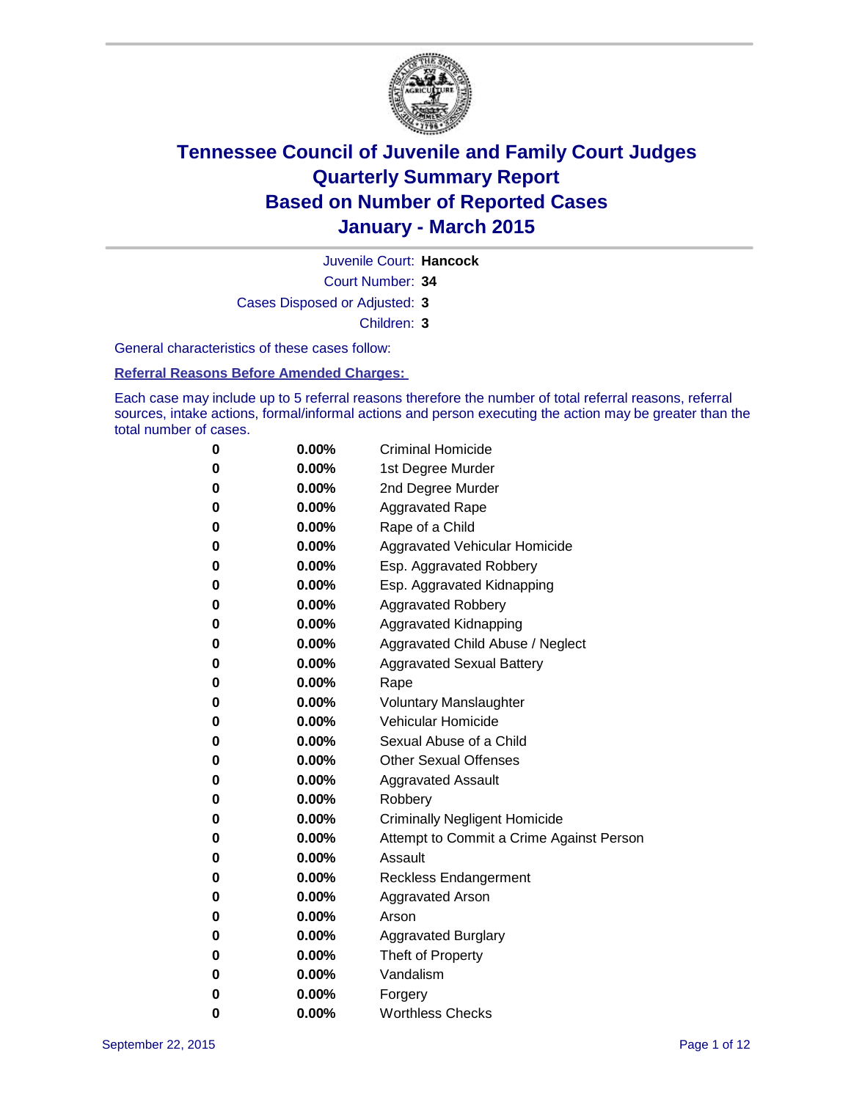

Juvenile Court: **Hancock**

Court Number: **34**

Cases Disposed or Adjusted: **3**

Children: **3**

General characteristics of these cases follow:

**Referral Reasons Before Amended Charges:** 

Each case may include up to 5 referral reasons therefore the number of total referral reasons, referral sources, intake actions, formal/informal actions and person executing the action may be greater than the total number of cases.

| 0 | $0.00\%$ | Criminal Homicide                        |
|---|----------|------------------------------------------|
| 0 | $0.00\%$ | 1st Degree Murder                        |
| 0 | $0.00\%$ | 2nd Degree Murder                        |
| 0 | $0.00\%$ | <b>Aggravated Rape</b>                   |
| 0 | $0.00\%$ | Rape of a Child                          |
| 0 | $0.00\%$ | Aggravated Vehicular Homicide            |
| 0 | $0.00\%$ | Esp. Aggravated Robbery                  |
| 0 | $0.00\%$ | Esp. Aggravated Kidnapping               |
| 0 | $0.00\%$ | <b>Aggravated Robbery</b>                |
| 0 | $0.00\%$ | Aggravated Kidnapping                    |
| 0 | $0.00\%$ | Aggravated Child Abuse / Neglect         |
| 0 | $0.00\%$ | <b>Aggravated Sexual Battery</b>         |
| 0 | $0.00\%$ | Rape                                     |
| 0 | 0.00%    | <b>Voluntary Manslaughter</b>            |
| 0 | 0.00%    | Vehicular Homicide                       |
| 0 | $0.00\%$ | Sexual Abuse of a Child                  |
| 0 | $0.00\%$ | <b>Other Sexual Offenses</b>             |
| 0 | $0.00\%$ | <b>Aggravated Assault</b>                |
| 0 | $0.00\%$ | Robbery                                  |
| 0 | $0.00\%$ | <b>Criminally Negligent Homicide</b>     |
| 0 | $0.00\%$ | Attempt to Commit a Crime Against Person |
| 0 | $0.00\%$ | Assault                                  |
| 0 | $0.00\%$ | <b>Reckless Endangerment</b>             |
| 0 | $0.00\%$ | Aggravated Arson                         |
| 0 | $0.00\%$ | Arson                                    |
| 0 | $0.00\%$ | <b>Aggravated Burglary</b>               |
| 0 | $0.00\%$ | Theft of Property                        |
| 0 | $0.00\%$ | Vandalism                                |
| 0 | $0.00\%$ | Forgery                                  |
| 0 | 0.00%    | <b>Worthless Checks</b>                  |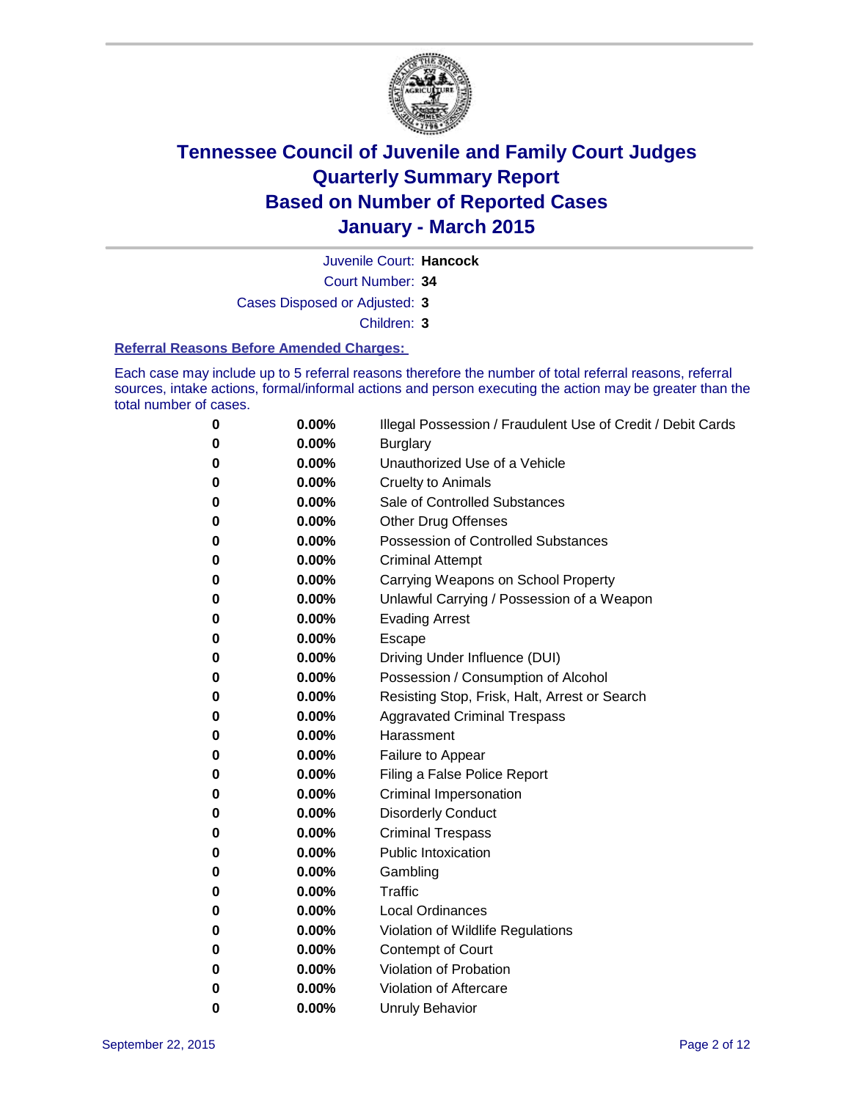

Juvenile Court: **Hancock**

Court Number: **34**

Cases Disposed or Adjusted: **3**

Children: **3**

#### **Referral Reasons Before Amended Charges:**

Each case may include up to 5 referral reasons therefore the number of total referral reasons, referral sources, intake actions, formal/informal actions and person executing the action may be greater than the total number of cases.

| 0 | 0.00% | Illegal Possession / Fraudulent Use of Credit / Debit Cards |
|---|-------|-------------------------------------------------------------|
| 0 | 0.00% | <b>Burglary</b>                                             |
| 0 | 0.00% | Unauthorized Use of a Vehicle                               |
| 0 | 0.00% | <b>Cruelty to Animals</b>                                   |
| 0 | 0.00% | Sale of Controlled Substances                               |
| 0 | 0.00% | <b>Other Drug Offenses</b>                                  |
| 0 | 0.00% | <b>Possession of Controlled Substances</b>                  |
| 0 | 0.00% | <b>Criminal Attempt</b>                                     |
| 0 | 0.00% | Carrying Weapons on School Property                         |
| 0 | 0.00% | Unlawful Carrying / Possession of a Weapon                  |
| 0 | 0.00% | <b>Evading Arrest</b>                                       |
| 0 | 0.00% | Escape                                                      |
| 0 | 0.00% | Driving Under Influence (DUI)                               |
| 0 | 0.00% | Possession / Consumption of Alcohol                         |
| 0 | 0.00% | Resisting Stop, Frisk, Halt, Arrest or Search               |
| 0 | 0.00% | <b>Aggravated Criminal Trespass</b>                         |
| 0 | 0.00% | Harassment                                                  |
| 0 | 0.00% | Failure to Appear                                           |
| 0 | 0.00% | Filing a False Police Report                                |
| 0 | 0.00% | Criminal Impersonation                                      |
| 0 | 0.00% | <b>Disorderly Conduct</b>                                   |
| 0 | 0.00% | <b>Criminal Trespass</b>                                    |
| 0 | 0.00% | <b>Public Intoxication</b>                                  |
| 0 | 0.00% | Gambling                                                    |
| 0 | 0.00% | Traffic                                                     |
| 0 | 0.00% | <b>Local Ordinances</b>                                     |
| 0 | 0.00% | Violation of Wildlife Regulations                           |
| 0 | 0.00% | Contempt of Court                                           |
| 0 | 0.00% | Violation of Probation                                      |
| 0 | 0.00% | Violation of Aftercare                                      |
| 0 | 0.00% | <b>Unruly Behavior</b>                                      |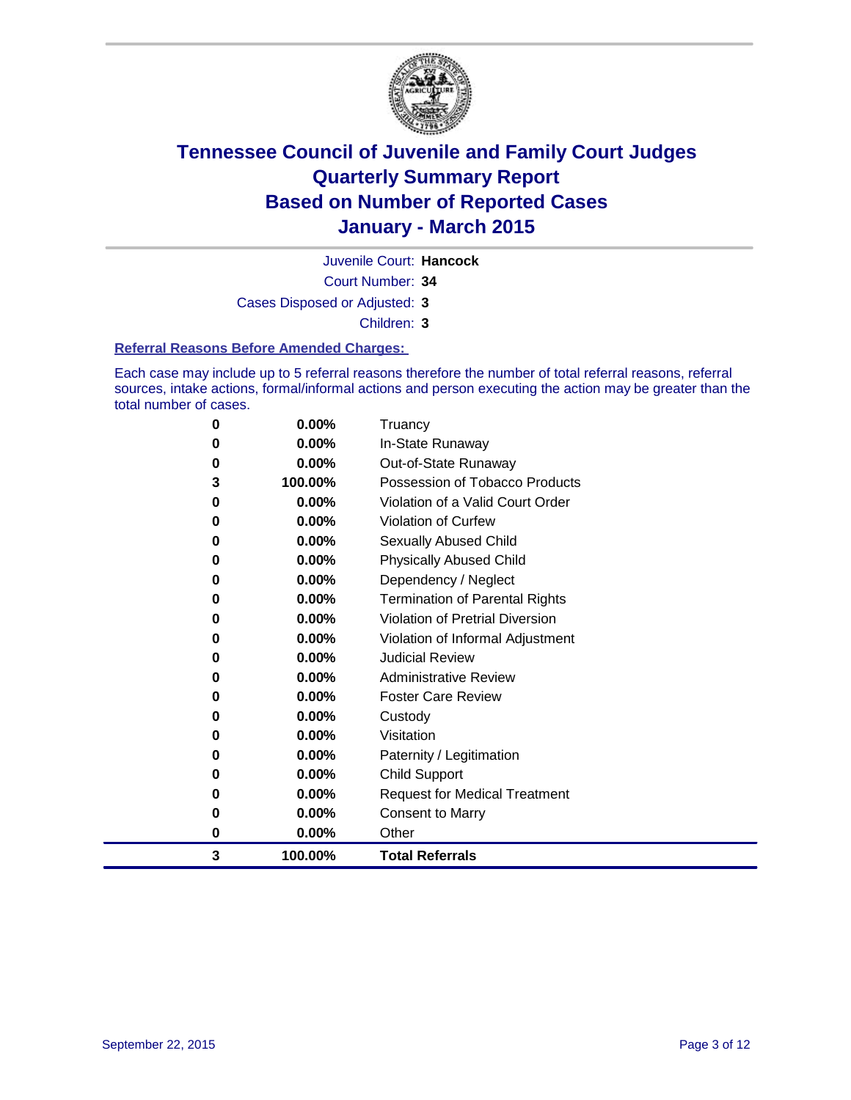

Juvenile Court: **Hancock**

Court Number: **34**

Cases Disposed or Adjusted: **3**

Children: **3**

#### **Referral Reasons Before Amended Charges:**

Each case may include up to 5 referral reasons therefore the number of total referral reasons, referral sources, intake actions, formal/informal actions and person executing the action may be greater than the total number of cases.

| 0 | $0.00\%$ | Truancy                                |
|---|----------|----------------------------------------|
| 0 | 0.00%    | In-State Runaway                       |
| 0 | $0.00\%$ | Out-of-State Runaway                   |
| 3 | 100.00%  | Possession of Tobacco Products         |
| 0 | $0.00\%$ | Violation of a Valid Court Order       |
| 0 | 0.00%    | <b>Violation of Curfew</b>             |
| 0 | 0.00%    | Sexually Abused Child                  |
| 0 | 0.00%    | <b>Physically Abused Child</b>         |
| 0 | 0.00%    | Dependency / Neglect                   |
| 0 | $0.00\%$ | <b>Termination of Parental Rights</b>  |
| 0 | 0.00%    | <b>Violation of Pretrial Diversion</b> |
| 0 | 0.00%    | Violation of Informal Adjustment       |
| 0 | 0.00%    | <b>Judicial Review</b>                 |
| 0 | 0.00%    | <b>Administrative Review</b>           |
| 0 | 0.00%    | <b>Foster Care Review</b>              |
| 0 | 0.00%    | Custody                                |
| 0 | $0.00\%$ | Visitation                             |
| 0 | 0.00%    | Paternity / Legitimation               |
| 0 | 0.00%    | Child Support                          |
| 0 | 0.00%    | <b>Request for Medical Treatment</b>   |
| 0 | 0.00%    | <b>Consent to Marry</b>                |
| 0 | 0.00%    | Other                                  |
| 3 | 100.00%  | <b>Total Referrals</b>                 |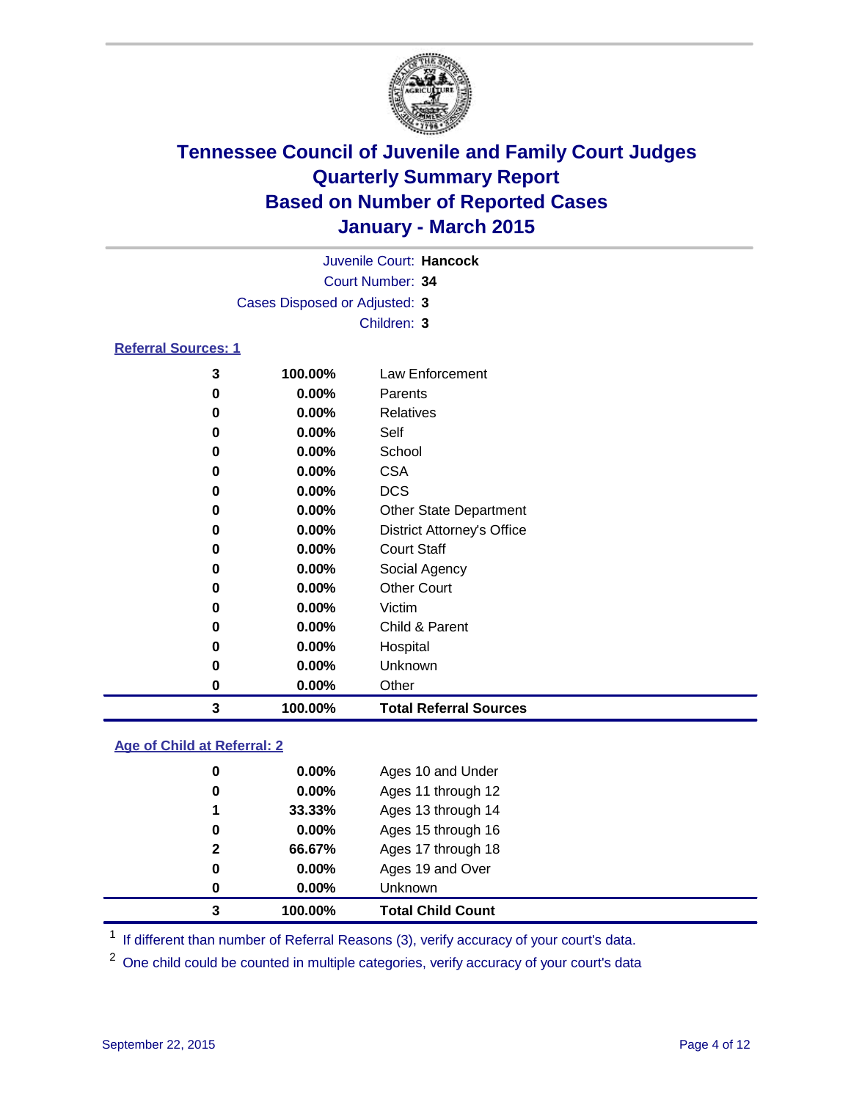

|                               |          | Juvenile Court: Hancock           |  |  |  |
|-------------------------------|----------|-----------------------------------|--|--|--|
| Court Number: 34              |          |                                   |  |  |  |
| Cases Disposed or Adjusted: 3 |          |                                   |  |  |  |
|                               |          | Children: 3                       |  |  |  |
| <b>Referral Sources: 1</b>    |          |                                   |  |  |  |
| 3                             | 100.00%  | Law Enforcement                   |  |  |  |
| 0                             | 0.00%    | Parents                           |  |  |  |
| 0                             | 0.00%    | Relatives                         |  |  |  |
| 0                             | $0.00\%$ | Self                              |  |  |  |
| 0                             | $0.00\%$ | School                            |  |  |  |
| 0                             | $0.00\%$ | <b>CSA</b>                        |  |  |  |
| 0                             | 0.00%    | <b>DCS</b>                        |  |  |  |
| 0                             | 0.00%    | <b>Other State Department</b>     |  |  |  |
| 0                             | 0.00%    | <b>District Attorney's Office</b> |  |  |  |
| 0                             | $0.00\%$ | <b>Court Staff</b>                |  |  |  |
| 0                             | $0.00\%$ | Social Agency                     |  |  |  |
| 0                             | $0.00\%$ | <b>Other Court</b>                |  |  |  |
| 0                             | 0.00%    | Victim                            |  |  |  |
| 0                             | $0.00\%$ | Child & Parent                    |  |  |  |
| 0                             | $0.00\%$ | Hospital                          |  |  |  |
| 0                             | $0.00\%$ | Unknown                           |  |  |  |

 **0.00%** Other **100.00% Total Referral Sources**

#### **Age of Child at Referral: 2**

| 0<br>0       | $0.00\%$<br>0.00% | Ages 19 and Over<br>Unknown |
|--------------|-------------------|-----------------------------|
|              |                   |                             |
|              |                   |                             |
| $\mathbf{2}$ | 66.67%            | Ages 17 through 18          |
| 0            | $0.00\%$          | Ages 15 through 16          |
| 1            | 33.33%            | Ages 13 through 14          |
| 0            | 0.00%             | Ages 11 through 12          |
| 0            | $0.00\%$          | Ages 10 and Under           |
|              |                   |                             |

<sup>1</sup> If different than number of Referral Reasons (3), verify accuracy of your court's data.

One child could be counted in multiple categories, verify accuracy of your court's data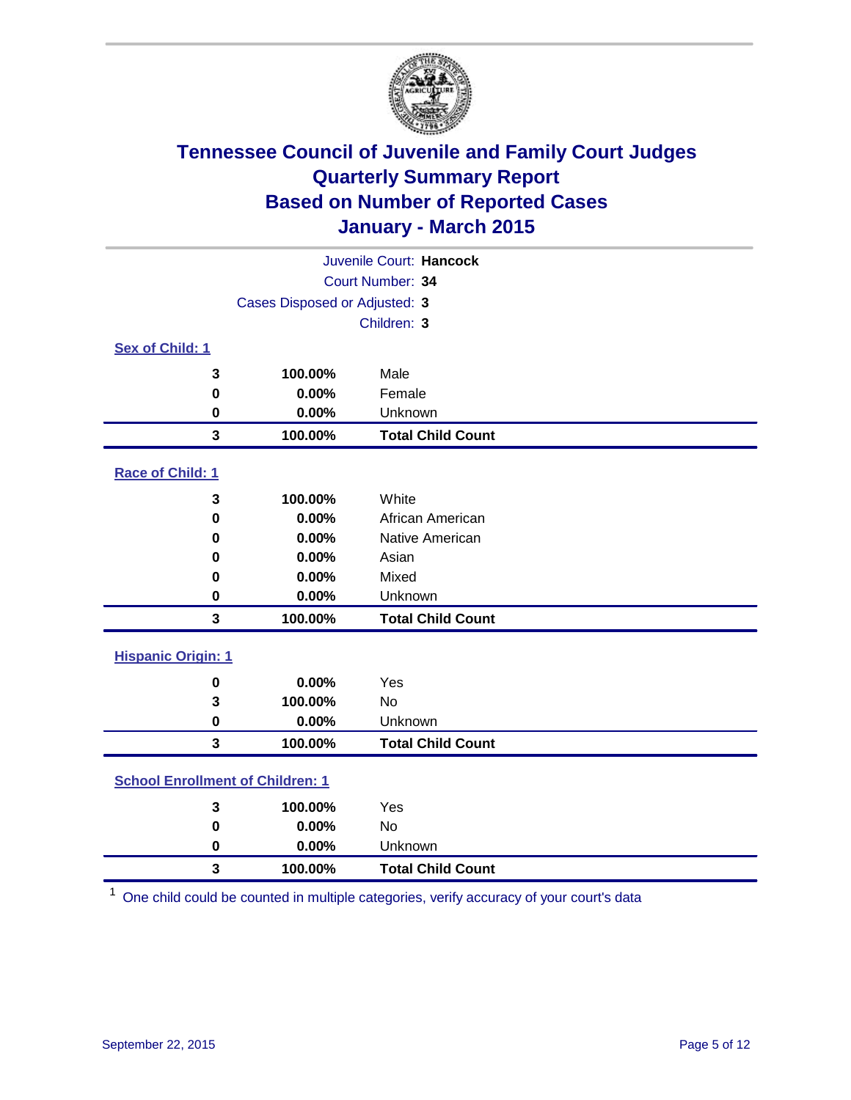

| Juvenile Court: Hancock                 |             |                          |  |
|-----------------------------------------|-------------|--------------------------|--|
| Court Number: 34                        |             |                          |  |
| Cases Disposed or Adjusted: 3           |             |                          |  |
|                                         | Children: 3 |                          |  |
| Sex of Child: 1                         |             |                          |  |
| 3                                       | 100.00%     | Male                     |  |
| $\mathbf 0$                             | 0.00%       | Female                   |  |
| 0                                       | 0.00%       | Unknown                  |  |
| $\mathbf{3}$                            | 100.00%     | <b>Total Child Count</b> |  |
| Race of Child: 1                        |             |                          |  |
|                                         | 100.00%     | White                    |  |
| 3                                       | 0.00%       | African American         |  |
| 0<br>0                                  | 0.00%       | Native American          |  |
| 0                                       | 0.00%       | Asian                    |  |
| 0                                       | 0.00%       | Mixed                    |  |
| $\mathbf 0$                             | 0.00%       | Unknown                  |  |
| 3                                       | 100.00%     | <b>Total Child Count</b> |  |
|                                         |             |                          |  |
| <b>Hispanic Origin: 1</b>               |             |                          |  |
| $\mathbf 0$                             | 0.00%       | Yes                      |  |
| 3                                       | 100.00%     | <b>No</b>                |  |
| 0                                       | 0.00%       | Unknown                  |  |
| $\overline{\mathbf{3}}$                 | 100.00%     | <b>Total Child Count</b> |  |
| <b>School Enrollment of Children: 1</b> |             |                          |  |
| 3                                       | 100.00%     | Yes                      |  |
| $\mathbf 0$                             | 0.00%       | <b>No</b>                |  |
| $\mathbf 0$                             | 0.00%       | Unknown                  |  |
| 3                                       | 100.00%     | <b>Total Child Count</b> |  |

One child could be counted in multiple categories, verify accuracy of your court's data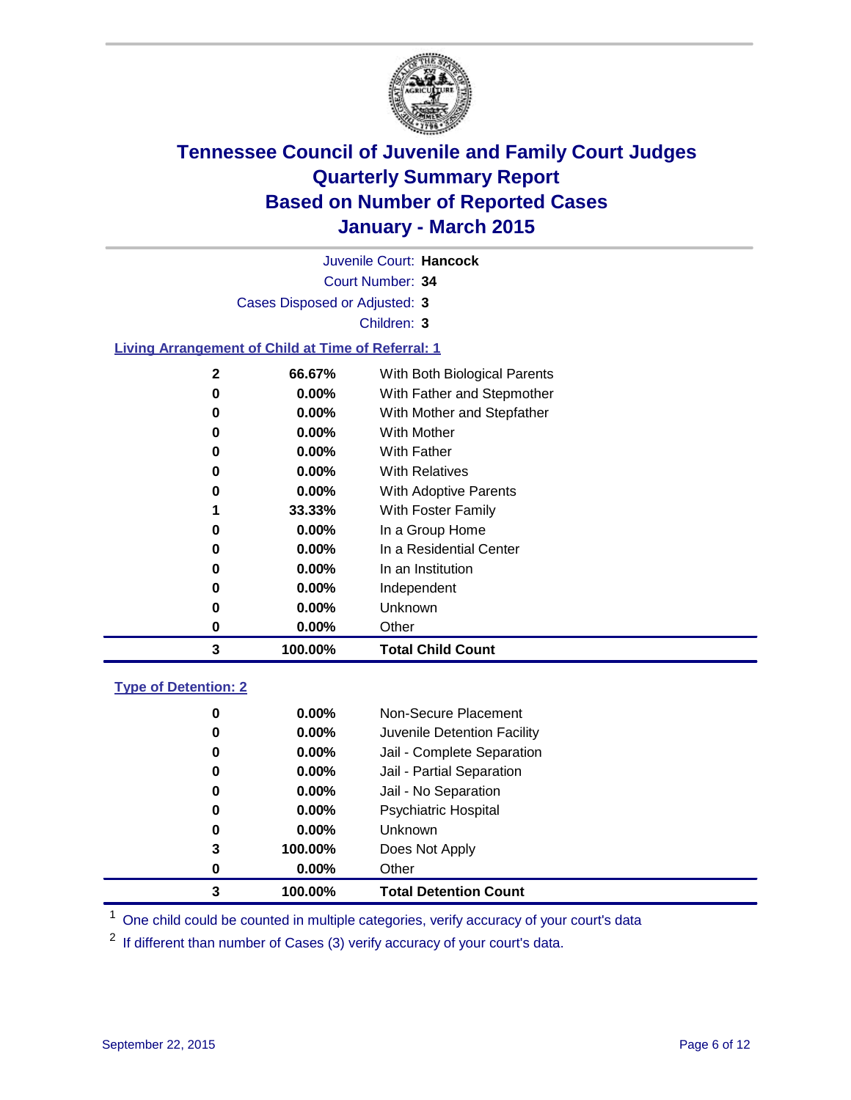

| Juvenile Court: Hancock                                   |                               |                              |  |  |
|-----------------------------------------------------------|-------------------------------|------------------------------|--|--|
| Court Number: 34                                          |                               |                              |  |  |
|                                                           | Cases Disposed or Adjusted: 3 |                              |  |  |
|                                                           |                               | Children: 3                  |  |  |
| <b>Living Arrangement of Child at Time of Referral: 1</b> |                               |                              |  |  |
| $\mathbf 2$                                               | 66.67%                        | With Both Biological Parents |  |  |
| $\bf{0}$                                                  | $0.00\%$                      | With Father and Stepmother   |  |  |
| 0                                                         | $0.00\%$                      | With Mother and Stepfather   |  |  |
| 0                                                         | 0.00%                         | <b>With Mother</b>           |  |  |
| 0                                                         | 0.00%                         | <b>With Father</b>           |  |  |
| 0                                                         | $0.00\%$                      | <b>With Relatives</b>        |  |  |
| 0                                                         | $0.00\%$                      | With Adoptive Parents        |  |  |
| 1                                                         | 33.33%                        | With Foster Family           |  |  |
| 0                                                         | $0.00\%$                      | In a Group Home              |  |  |
| 0                                                         | 0.00%                         | In a Residential Center      |  |  |
| 0                                                         | $0.00\%$                      | In an Institution            |  |  |
| 0                                                         | 0.00%                         | Independent                  |  |  |
| 0                                                         | 0.00%                         | Unknown                      |  |  |
| 0                                                         | 0.00%                         | Other                        |  |  |
| 3                                                         | 100.00%                       | <b>Total Child Count</b>     |  |  |
| <b>Type of Detention: 2</b>                               |                               |                              |  |  |
| 0                                                         | 0.00%                         | Non-Secure Placement         |  |  |
| 0                                                         | $0.00\%$                      | Juvenile Detention Facility  |  |  |
| 0                                                         | 0.00%                         | Jail - Complete Separation   |  |  |
| 0                                                         | 0.00%                         | Jail - Partial Separation    |  |  |

| 3 | 100.00%  | <b>Total Detention Count</b> |
|---|----------|------------------------------|
| 0 | $0.00\%$ | Other                        |
| 3 | 100.00%  | Does Not Apply               |
| 0 | $0.00\%$ | <b>Unknown</b>               |
| 0 | $0.00\%$ | <b>Psychiatric Hospital</b>  |
| 0 | $0.00\%$ | Jail - No Separation         |
|   |          |                              |

<sup>1</sup> One child could be counted in multiple categories, verify accuracy of your court's data

If different than number of Cases (3) verify accuracy of your court's data.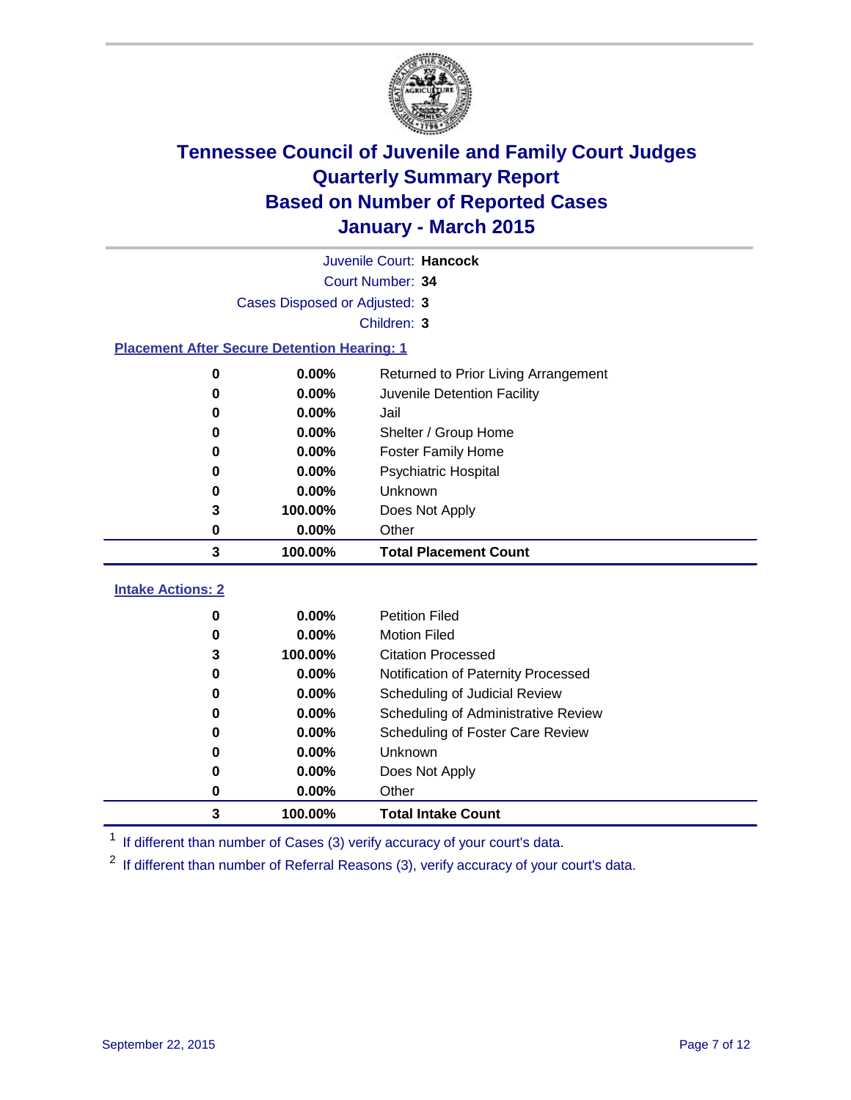

|                               | Juvenile Court: Hancock                            |                                         |  |  |  |
|-------------------------------|----------------------------------------------------|-----------------------------------------|--|--|--|
|                               | Court Number: 34                                   |                                         |  |  |  |
| Cases Disposed or Adjusted: 3 |                                                    |                                         |  |  |  |
|                               | Children: 3                                        |                                         |  |  |  |
|                               | <b>Placement After Secure Detention Hearing: 1</b> |                                         |  |  |  |
|                               | 0.00%<br>$\bf{0}$                                  | Returned to Prior Living Arrangement    |  |  |  |
|                               | 0.00%<br>0                                         | Juvenile Detention Facility             |  |  |  |
|                               | 0.00%<br>0                                         | Jail                                    |  |  |  |
|                               | 0.00%<br>0                                         | Shelter / Group Home                    |  |  |  |
|                               | 0.00%<br>0                                         | <b>Foster Family Home</b>               |  |  |  |
|                               | 0.00%<br>0                                         | <b>Psychiatric Hospital</b>             |  |  |  |
|                               | 0.00%<br>0                                         | Unknown                                 |  |  |  |
|                               | 3<br>100.00%                                       | Does Not Apply                          |  |  |  |
|                               | 0.00%<br>0                                         | Other                                   |  |  |  |
|                               | 3<br>100.00%                                       | <b>Total Placement Count</b>            |  |  |  |
| <b>Intake Actions: 2</b>      |                                                    |                                         |  |  |  |
|                               |                                                    |                                         |  |  |  |
|                               | 0.00%<br>0                                         | <b>Petition Filed</b>                   |  |  |  |
|                               | 0.00%<br>$\bf{0}$                                  | <b>Motion Filed</b>                     |  |  |  |
|                               | 100.00%<br>3                                       | <b>Citation Processed</b>               |  |  |  |
|                               | 0.00%<br>0                                         | Notification of Paternity Processed     |  |  |  |
|                               | 0.00%<br>0                                         | Scheduling of Judicial Review           |  |  |  |
|                               | 0.00%<br>0                                         | Scheduling of Administrative Review     |  |  |  |
|                               | 0.00%<br>0                                         | <b>Scheduling of Foster Care Review</b> |  |  |  |
|                               | 0.00%<br>0                                         | Unknown                                 |  |  |  |
|                               | 0.00%<br>0                                         | Does Not Apply                          |  |  |  |
|                               | 0.00%<br>0                                         | Other                                   |  |  |  |
|                               | 3<br>100.00%                                       | <b>Total Intake Count</b>               |  |  |  |

<sup>1</sup> If different than number of Cases (3) verify accuracy of your court's data.

If different than number of Referral Reasons (3), verify accuracy of your court's data.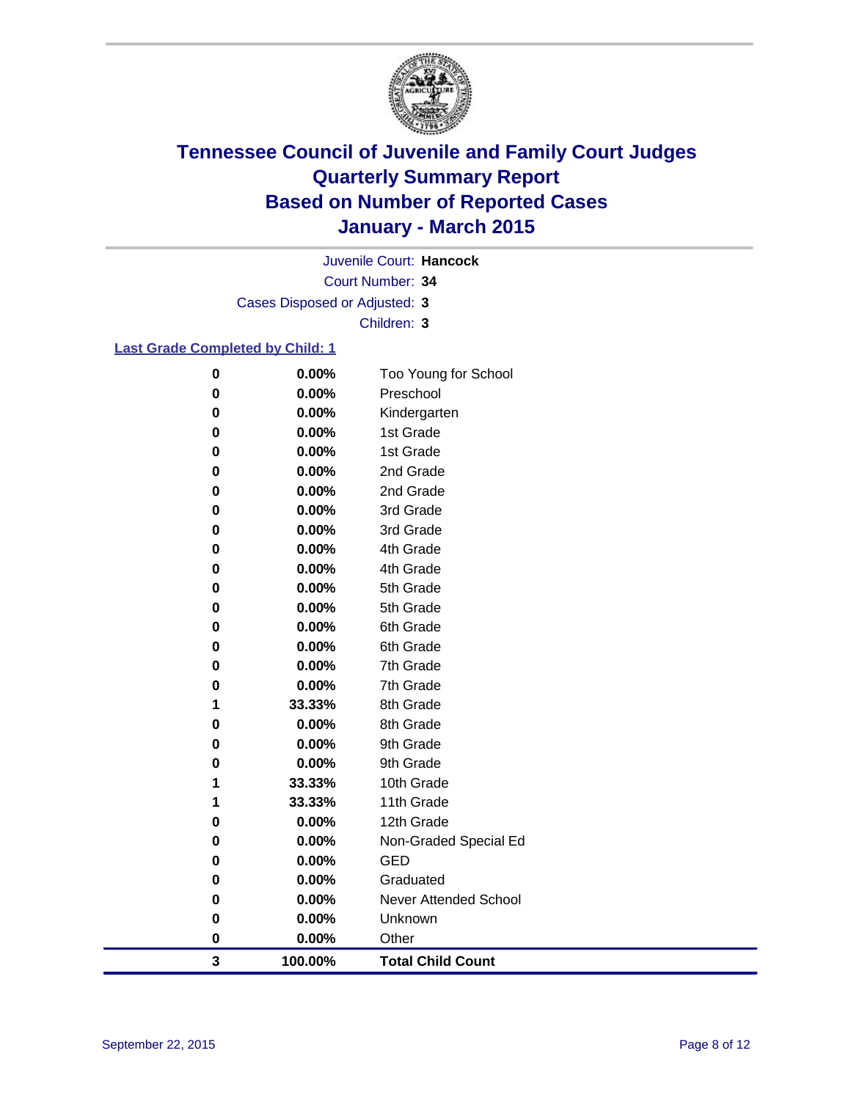

Court Number: **34** Juvenile Court: **Hancock** Cases Disposed or Adjusted: **3** Children: **3**

#### **Last Grade Completed by Child: 1**

| 3         | 100.00%        | <b>Total Child Count</b>     |
|-----------|----------------|------------------------------|
| $\pmb{0}$ | 0.00%          | Other                        |
| $\bf{0}$  | 0.00%          | Unknown                      |
| 0         | 0.00%          | <b>Never Attended School</b> |
| 0         | 0.00%          | Graduated                    |
| 0         | 0.00%          | <b>GED</b>                   |
| 0         | 0.00%          | Non-Graded Special Ed        |
| 0         | 0.00%          | 12th Grade                   |
| 1         | 33.33%         | 11th Grade                   |
| 1         | 33.33%         | 10th Grade                   |
| 0         | 0.00%          | 9th Grade                    |
| 0         | 0.00%          | 9th Grade                    |
| 0         | 0.00%          | 8th Grade                    |
| 1         | 33.33%         | 8th Grade                    |
| 0         | 0.00%          | 7th Grade                    |
| 0         | 0.00%          | 7th Grade                    |
| 0         | 0.00%          | 6th Grade                    |
| 0<br>0    | 0.00%          | 6th Grade                    |
| 0         | 0.00%<br>0.00% | 5th Grade<br>5th Grade       |
| 0         | 0.00%          | 4th Grade                    |
| 0         | 0.00%          | 4th Grade                    |
| 0         | 0.00%          | 3rd Grade                    |
| 0         | 0.00%          | 3rd Grade                    |
| $\bf{0}$  | 0.00%          | 2nd Grade                    |
| 0         | 0.00%          | 2nd Grade                    |
| 0         | 0.00%          | 1st Grade                    |
| $\bf{0}$  | 0.00%          | 1st Grade                    |
| 0         | 0.00%          | Kindergarten                 |
| $\bf{0}$  | 0.00%          | Preschool                    |
| $\bf{0}$  | 0.00%          | Too Young for School         |
|           |                |                              |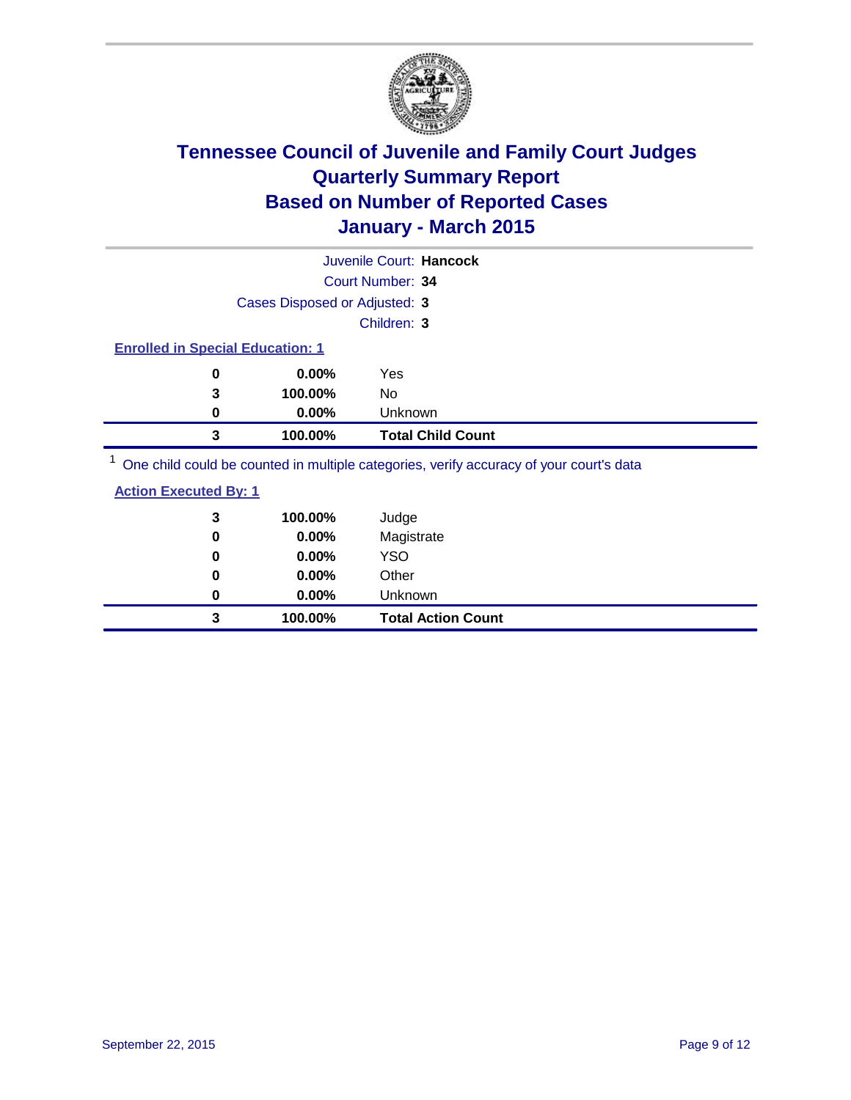

|                                                                                         |                               | Juvenile Court: Hancock  |  |
|-----------------------------------------------------------------------------------------|-------------------------------|--------------------------|--|
|                                                                                         |                               | Court Number: 34         |  |
|                                                                                         | Cases Disposed or Adjusted: 3 |                          |  |
|                                                                                         |                               | Children: 3              |  |
| <b>Enrolled in Special Education: 1</b>                                                 |                               |                          |  |
| 0                                                                                       | $0.00\%$                      | Yes                      |  |
| 3                                                                                       | 100.00%                       | No                       |  |
| 0                                                                                       | $0.00\%$                      | Unknown                  |  |
| 3                                                                                       | 100.00%                       | <b>Total Child Count</b> |  |
| One child could be counted in multiple categories, verify accuracy of your court's data |                               |                          |  |

| 3<br>$\bf{0}$ | 100.00%<br>0.00% | Judge<br>Magistrate       |
|---------------|------------------|---------------------------|
| 0             | $0.00\%$         | <b>YSO</b>                |
| 0             | 0.00%            | Other                     |
| 0             | $0.00\%$         | Unknown                   |
| 3             | 100.00%          | <b>Total Action Count</b> |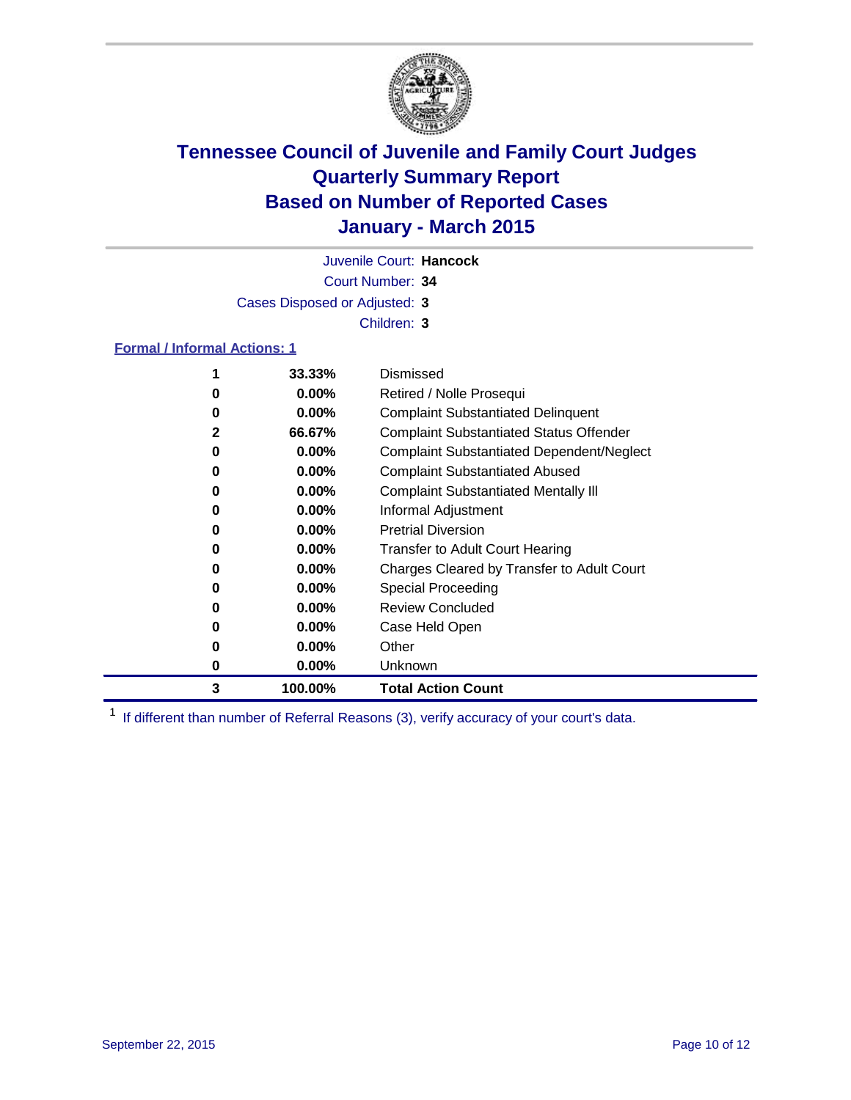

Court Number: **34** Juvenile Court: **Hancock** Cases Disposed or Adjusted: **3** Children: **3**

#### **Formal / Informal Actions: 1**

|              | 33.33%   | Dismissed                                        |
|--------------|----------|--------------------------------------------------|
| 0            | $0.00\%$ | Retired / Nolle Prosequi                         |
| 0            | $0.00\%$ | <b>Complaint Substantiated Delinquent</b>        |
| $\mathbf{2}$ | 66.67%   | <b>Complaint Substantiated Status Offender</b>   |
| 0            | $0.00\%$ | <b>Complaint Substantiated Dependent/Neglect</b> |
| 0            | $0.00\%$ | <b>Complaint Substantiated Abused</b>            |
| 0            | $0.00\%$ | <b>Complaint Substantiated Mentally III</b>      |
| 0            | $0.00\%$ | Informal Adjustment                              |
| 0            | $0.00\%$ | <b>Pretrial Diversion</b>                        |
| 0            | $0.00\%$ | <b>Transfer to Adult Court Hearing</b>           |
| 0            | $0.00\%$ | Charges Cleared by Transfer to Adult Court       |
| 0            | $0.00\%$ | Special Proceeding                               |
| 0            | $0.00\%$ | <b>Review Concluded</b>                          |
| 0            | $0.00\%$ | Case Held Open                                   |
| 0            | $0.00\%$ | Other                                            |
| 0            | $0.00\%$ | Unknown                                          |
| 3            | 100.00%  | <b>Total Action Count</b>                        |

<sup>1</sup> If different than number of Referral Reasons (3), verify accuracy of your court's data.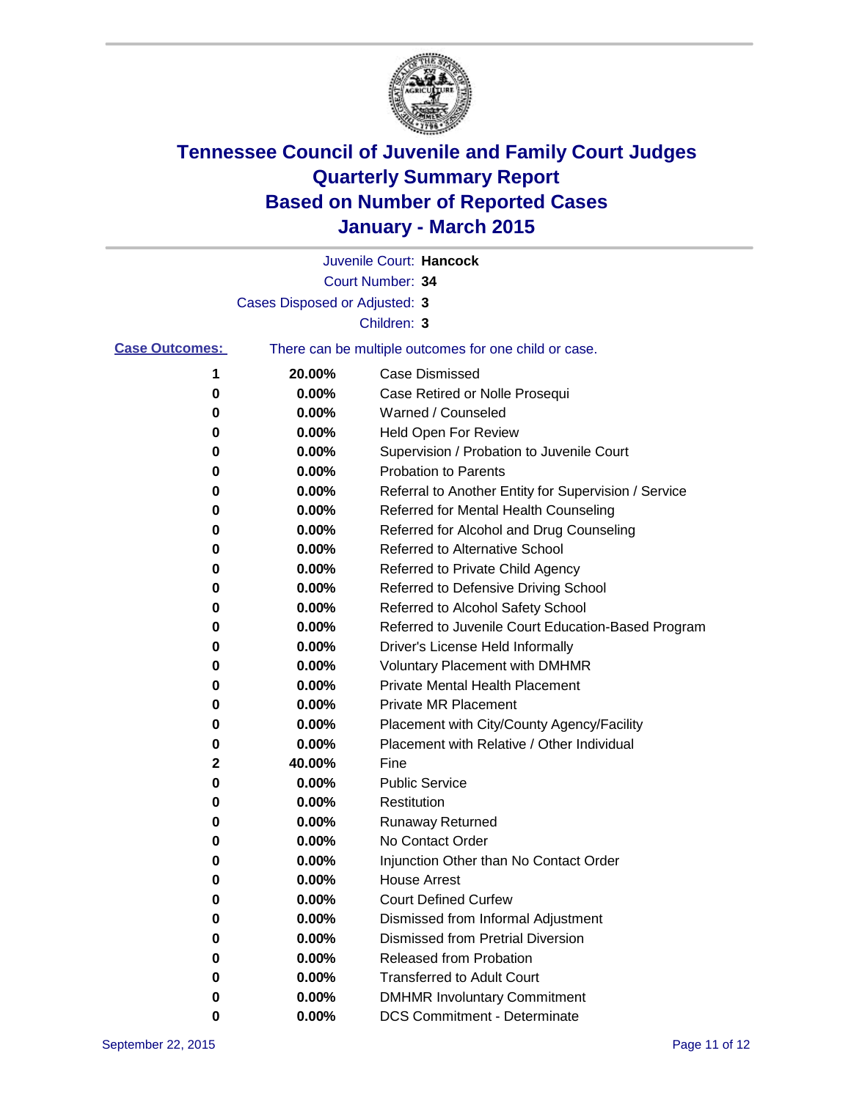

|                       |                                                       | Juvenile Court: Hancock                              |
|-----------------------|-------------------------------------------------------|------------------------------------------------------|
|                       |                                                       | Court Number: 34                                     |
|                       | Cases Disposed or Adjusted: 3                         |                                                      |
|                       |                                                       | Children: 3                                          |
| <b>Case Outcomes:</b> | There can be multiple outcomes for one child or case. |                                                      |
| 1                     | 20.00%                                                | Case Dismissed                                       |
| 0                     | 0.00%                                                 | Case Retired or Nolle Prosequi                       |
| 0                     | 0.00%                                                 | Warned / Counseled                                   |
| 0                     | 0.00%                                                 | Held Open For Review                                 |
| 0                     | 0.00%                                                 | Supervision / Probation to Juvenile Court            |
| 0                     | 0.00%                                                 | <b>Probation to Parents</b>                          |
| 0                     | 0.00%                                                 | Referral to Another Entity for Supervision / Service |
| 0                     | 0.00%                                                 | Referred for Mental Health Counseling                |
| 0                     | 0.00%                                                 | Referred for Alcohol and Drug Counseling             |
| 0                     | 0.00%                                                 | <b>Referred to Alternative School</b>                |
| 0                     | 0.00%                                                 | Referred to Private Child Agency                     |
| 0                     | 0.00%                                                 | Referred to Defensive Driving School                 |
| 0                     | 0.00%                                                 | Referred to Alcohol Safety School                    |
| 0                     | 0.00%                                                 | Referred to Juvenile Court Education-Based Program   |
| 0                     | 0.00%                                                 | Driver's License Held Informally                     |
| 0                     | 0.00%                                                 | <b>Voluntary Placement with DMHMR</b>                |
| 0                     | 0.00%                                                 | Private Mental Health Placement                      |
| 0                     | 0.00%                                                 | <b>Private MR Placement</b>                          |
| 0                     | 0.00%                                                 | Placement with City/County Agency/Facility           |
| 0                     | 0.00%                                                 | Placement with Relative / Other Individual           |
| 2                     | 40.00%                                                | Fine                                                 |
| 0                     | 0.00%                                                 | <b>Public Service</b>                                |
| 0                     | 0.00%                                                 | Restitution                                          |
| 0                     | 0.00%                                                 | Runaway Returned                                     |
| 0                     | 0.00%                                                 | No Contact Order                                     |
| 0                     | 0.00%                                                 | Injunction Other than No Contact Order               |
| 0                     | 0.00%                                                 | <b>House Arrest</b>                                  |
| o                     | 0.00%                                                 | <b>Court Defined Curfew</b>                          |
| 0                     | 0.00%                                                 | Dismissed from Informal Adjustment                   |
| 0                     | 0.00%                                                 | <b>Dismissed from Pretrial Diversion</b>             |
| 0                     | 0.00%                                                 | Released from Probation                              |
| 0                     | 0.00%                                                 | <b>Transferred to Adult Court</b>                    |
| 0                     | 0.00%                                                 | <b>DMHMR Involuntary Commitment</b>                  |
| 0                     | 0.00%                                                 | <b>DCS Commitment - Determinate</b>                  |